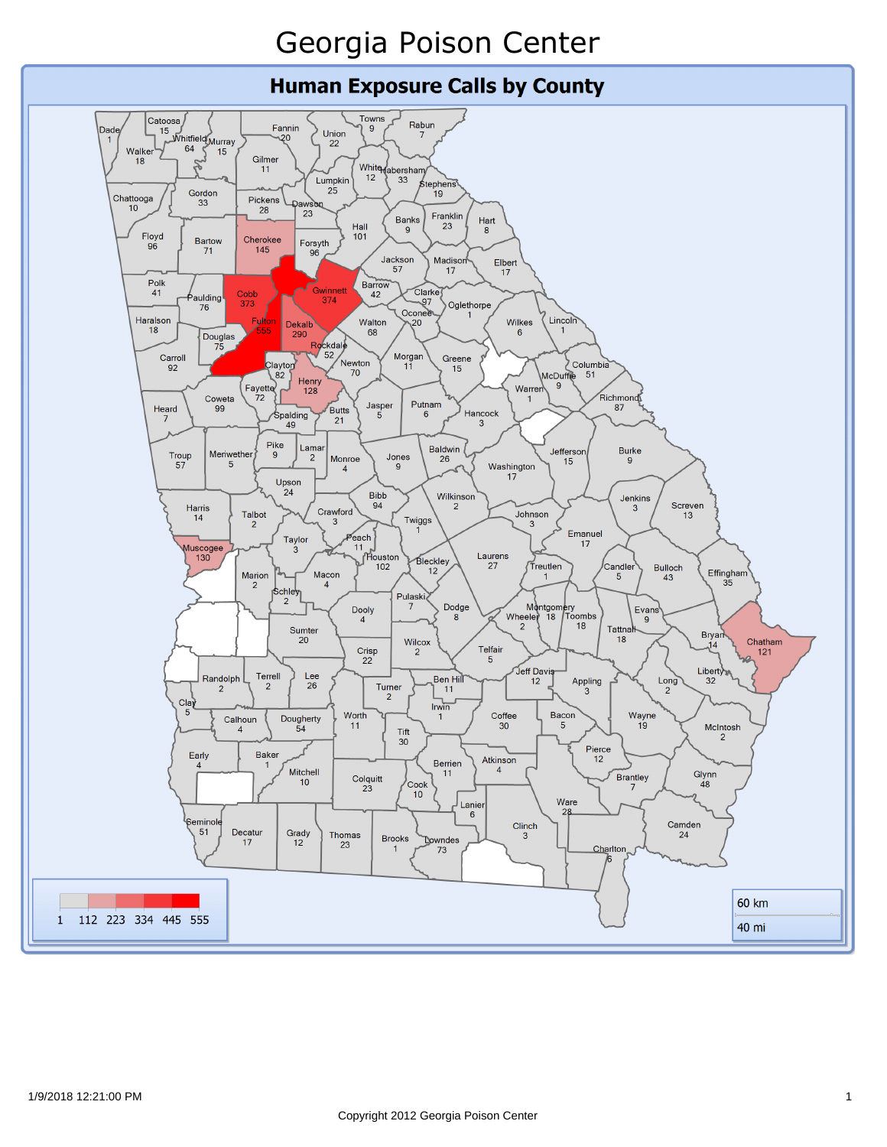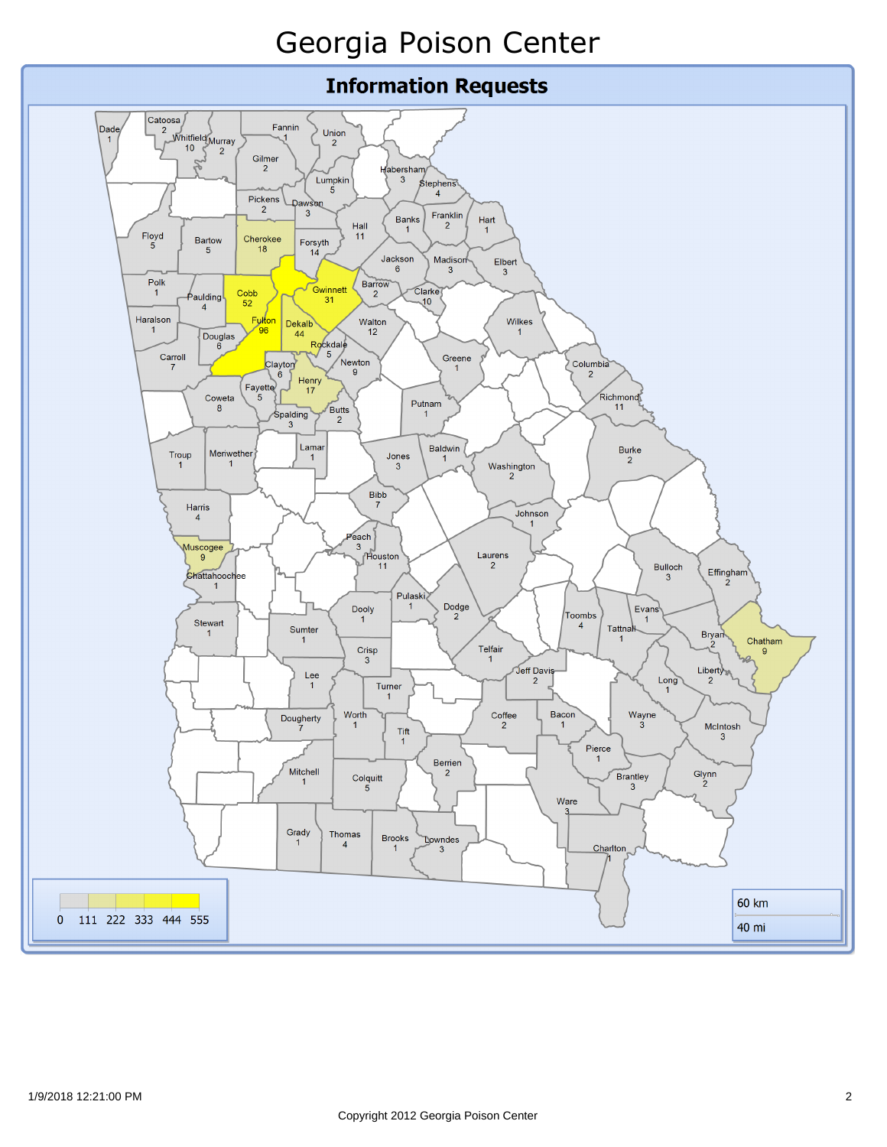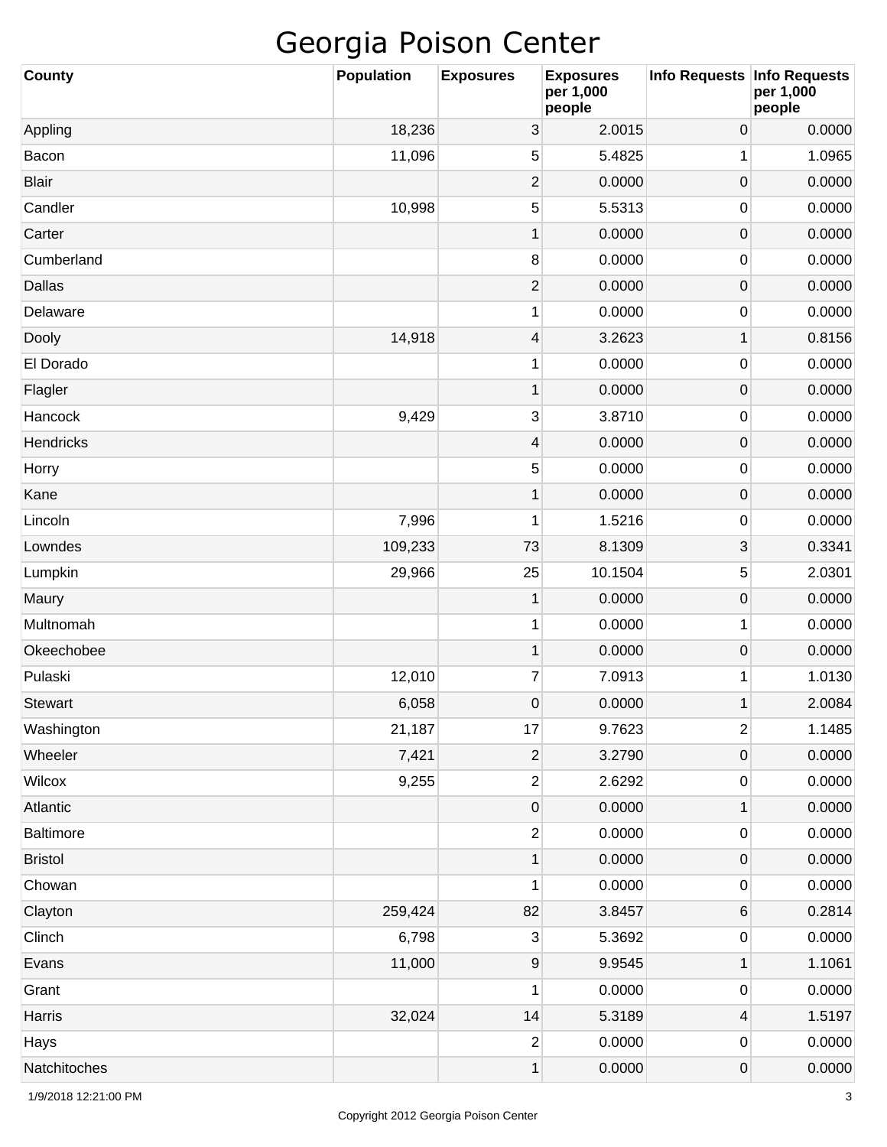| <b>County</b>  | <b>Population</b> | <b>Exposures</b>        | <b>Exposures</b><br>per 1,000<br>people | Info Requests Info Requests | per 1,000<br>people |
|----------------|-------------------|-------------------------|-----------------------------------------|-----------------------------|---------------------|
| Appling        | 18,236            | 3                       | 2.0015                                  | $\boldsymbol{0}$            | 0.0000              |
| Bacon          | 11,096            | 5                       | 5.4825                                  | 1                           | 1.0965              |
| <b>Blair</b>   |                   | $\overline{c}$          | 0.0000                                  | $\boldsymbol{0}$            | 0.0000              |
| Candler        | 10,998            | 5                       | 5.5313                                  | 0                           | 0.0000              |
| Carter         |                   | $\mathbf 1$             | 0.0000                                  | $\boldsymbol{0}$            | 0.0000              |
| Cumberland     |                   | $\, 8$                  | 0.0000                                  | 0                           | 0.0000              |
| Dallas         |                   | $\overline{c}$          | 0.0000                                  | $\boldsymbol{0}$            | 0.0000              |
| Delaware       |                   | 1                       | 0.0000                                  | 0                           | 0.0000              |
| Dooly          | 14,918            | 4                       | 3.2623                                  | 1                           | 0.8156              |
| El Dorado      |                   | 1                       | 0.0000                                  | 0                           | 0.0000              |
| Flagler        |                   | $\mathbf 1$             | 0.0000                                  | $\boldsymbol{0}$            | 0.0000              |
| Hancock        | 9,429             | 3                       | 3.8710                                  | 0                           | 0.0000              |
| Hendricks      |                   | $\overline{\mathbf{4}}$ | 0.0000                                  | $\boldsymbol{0}$            | 0.0000              |
| Horry          |                   | 5                       | 0.0000                                  | 0                           | 0.0000              |
| Kane           |                   | $\mathbf 1$             | 0.0000                                  | $\boldsymbol{0}$            | 0.0000              |
| Lincoln        | 7,996             | 1                       | 1.5216                                  | 0                           | 0.0000              |
| Lowndes        | 109,233           | 73                      | 8.1309                                  | 3                           | 0.3341              |
| Lumpkin        | 29,966            | 25                      | 10.1504                                 | 5                           | 2.0301              |
| Maury          |                   | 1                       | 0.0000                                  | $\mathsf{O}\xspace$         | 0.0000              |
| Multnomah      |                   | 1                       | 0.0000                                  | 1                           | 0.0000              |
| Okeechobee     |                   | $\mathbf 1$             | 0.0000                                  | $\boldsymbol{0}$            | 0.0000              |
| Pulaski        | 12,010            | 7                       | 7.0913                                  | 1                           | 1.0130              |
| <b>Stewart</b> | 6,058             | 0                       | 0.0000                                  | 1                           | 2.0084              |
| Washington     | 21,187            | 17                      | 9.7623                                  | $\mathbf{2}$                | 1.1485              |
| Wheeler        | 7,421             | $\overline{\mathbf{c}}$ | 3.2790                                  | $\mathsf{O}\xspace$         | 0.0000              |
| Wilcox         | 9,255             | $\mathbf{2}$            | 2.6292                                  | 0                           | 0.0000              |
| Atlantic       |                   | 0                       | 0.0000                                  | 1                           | 0.0000              |
| Baltimore      |                   | $\mathbf{2}$            | 0.0000                                  | 0                           | 0.0000              |
| <b>Bristol</b> |                   | $\mathbf 1$             | 0.0000                                  | $\mathsf{O}\xspace$         | 0.0000              |
| Chowan         |                   | 1                       | 0.0000                                  | 0                           | 0.0000              |
| Clayton        | 259,424           | 82                      | 3.8457                                  | 6                           | 0.2814              |
| Clinch         | 6,798             | 3                       | 5.3692                                  | 0                           | 0.0000              |
| Evans          | 11,000            | 9                       | 9.9545                                  | 1                           | 1.1061              |
| Grant          |                   | 1                       | 0.0000                                  | 0                           | 0.0000              |
| Harris         | 32,024            | 14                      | 5.3189                                  | 4                           | 1.5197              |
| Hays           |                   | $\overline{\mathbf{c}}$ | 0.0000                                  | 0                           | 0.0000              |
| Natchitoches   |                   | $\mathbf 1$             | 0.0000                                  | 0                           | 0.0000              |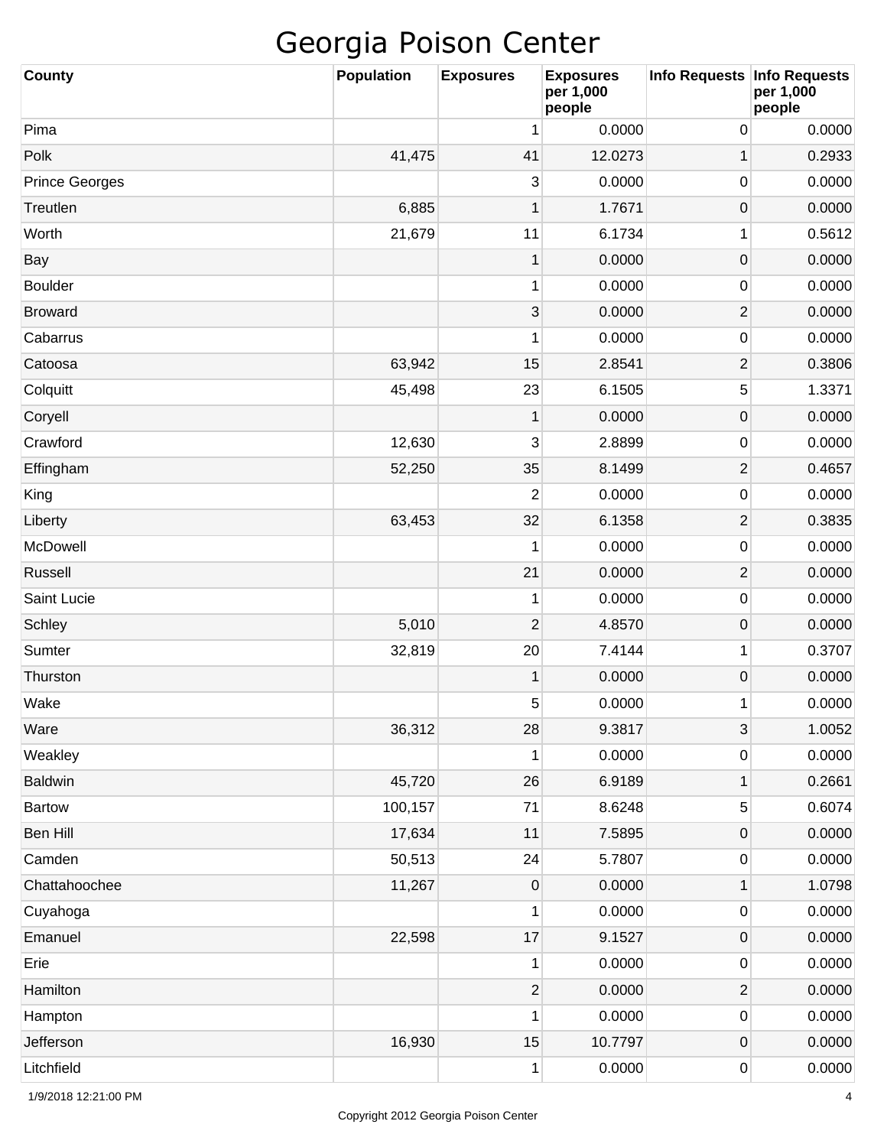| <b>County</b>         | <b>Population</b> | <b>Exposures</b> | <b>Exposures</b><br>per 1,000<br>people | Info Requests | <b>Info Requests</b><br>per 1,000<br>people |
|-----------------------|-------------------|------------------|-----------------------------------------|---------------|---------------------------------------------|
| Pima                  |                   | 1                | 0.0000                                  | 0             | 0.0000                                      |
| Polk                  | 41,475            | 41               | 12.0273                                 | 1             | 0.2933                                      |
| <b>Prince Georges</b> |                   | 3                | 0.0000                                  | 0             | 0.0000                                      |
| Treutlen              | 6,885             | 1                | 1.7671                                  | 0             | 0.0000                                      |
| Worth                 | 21,679            | 11               | 6.1734                                  | 1             | 0.5612                                      |
| Bay                   |                   | 1                | 0.0000                                  | 0             | 0.0000                                      |
| <b>Boulder</b>        |                   | 1                | 0.0000                                  | 0             | 0.0000                                      |
| <b>Broward</b>        |                   | 3                | 0.0000                                  | $\mathbf{2}$  | 0.0000                                      |
| Cabarrus              |                   | 1                | 0.0000                                  | 0             | 0.0000                                      |
| Catoosa               | 63,942            | 15               | 2.8541                                  | $\mathbf{2}$  | 0.3806                                      |
| Colquitt              | 45,498            | 23               | 6.1505                                  | 5             | 1.3371                                      |
| Coryell               |                   | 1                | 0.0000                                  | 0             | 0.0000                                      |
| Crawford              | 12,630            | 3                | 2.8899                                  | 0             | 0.0000                                      |
| Effingham             | 52,250            | 35               | 8.1499                                  | $\mathbf{2}$  | 0.4657                                      |
| King                  |                   | $\overline{2}$   | 0.0000                                  | 0             | 0.0000                                      |
| Liberty               | 63,453            | 32               | 6.1358                                  | $\mathbf{2}$  | 0.3835                                      |
| McDowell              |                   | 1                | 0.0000                                  | 0             | 0.0000                                      |
| Russell               |                   | 21               | 0.0000                                  | $\mathbf{2}$  | 0.0000                                      |
| Saint Lucie           |                   | 1                | 0.0000                                  | 0             | 0.0000                                      |
| Schley                | 5,010             | $\overline{2}$   | 4.8570                                  | 0             | 0.0000                                      |
| Sumter                | 32,819            | 20               | 7.4144                                  | 1             | 0.3707                                      |
| Thurston              |                   | 1                | 0.0000                                  | 0             | 0.0000                                      |
| Wake                  |                   | 5                | 0.0000                                  | 1             | 0.0000                                      |
| Ware                  | 36,312            | 28               | 9.3817                                  | 3             | 1.0052                                      |
| Weakley               |                   | 1                | 0.0000                                  | 0             | 0.0000                                      |
| Baldwin               | 45,720            | 26               | 6.9189                                  | $\mathbf 1$   | 0.2661                                      |
| <b>Bartow</b>         | 100,157           | 71               | 8.6248                                  | 5             | 0.6074                                      |
| Ben Hill              | 17,634            | 11               | 7.5895                                  | $\pmb{0}$     | 0.0000                                      |
| Camden                | 50,513            | 24               | 5.7807                                  | 0             | 0.0000                                      |
| Chattahoochee         | 11,267            | 0                | 0.0000                                  | $\mathbf 1$   | 1.0798                                      |
| Cuyahoga              |                   | 1                | 0.0000                                  | 0             | 0.0000                                      |
| Emanuel               | 22,598            | 17               | 9.1527                                  | $\pmb{0}$     | 0.0000                                      |
| Erie                  |                   | 1                | 0.0000                                  | 0             | 0.0000                                      |
| Hamilton              |                   | $\overline{c}$   | 0.0000                                  | $\mathbf{2}$  | 0.0000                                      |
| Hampton               |                   | 1                | 0.0000                                  | 0             | 0.0000                                      |
| Jefferson             | 16,930            | 15               | 10.7797                                 | 0             | 0.0000                                      |
| Litchfield            |                   | 1                | 0.0000                                  | 0             | 0.0000                                      |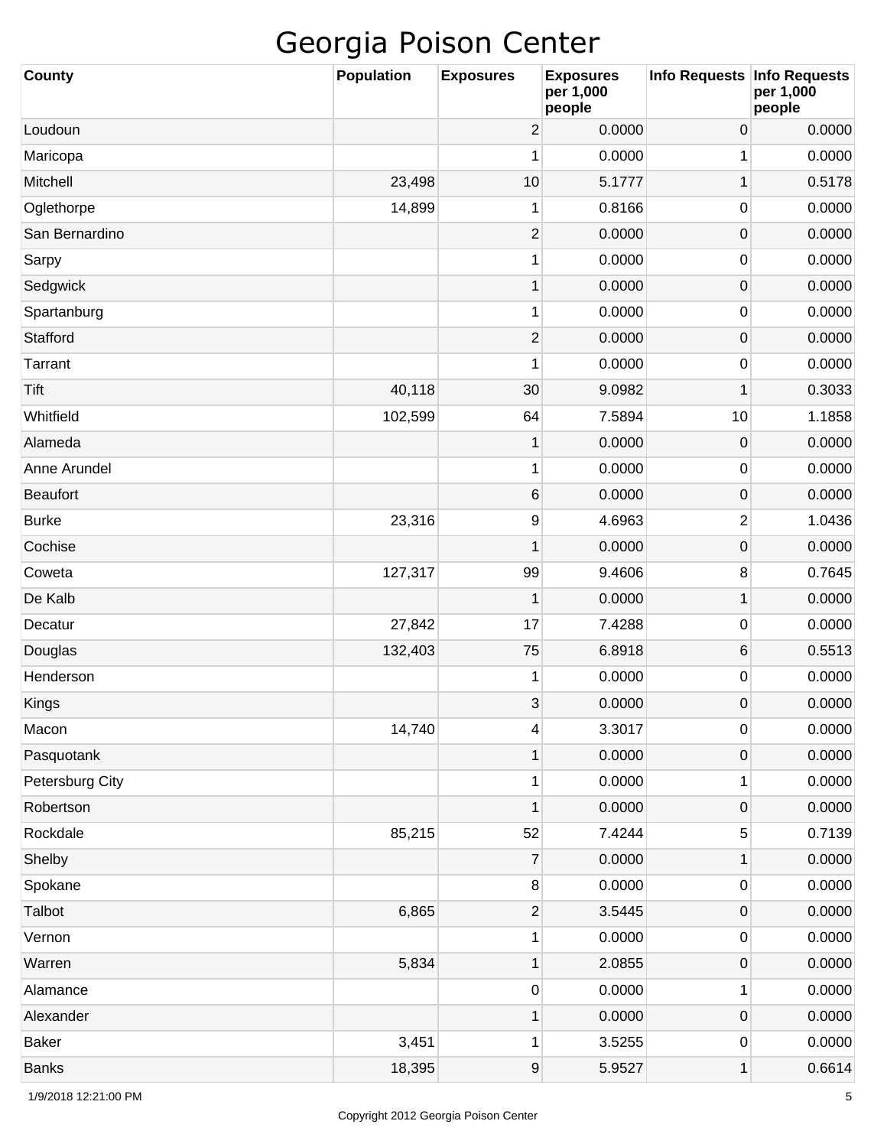| <b>County</b>   | <b>Population</b> | <b>Exposures</b>        | <b>Exposures</b><br>per 1,000<br>people | <b>Info Requests</b> | <b>Info Requests</b><br>per 1,000<br>people |
|-----------------|-------------------|-------------------------|-----------------------------------------|----------------------|---------------------------------------------|
| Loudoun         |                   | $\overline{\mathbf{c}}$ | 0.0000                                  | 0                    | 0.0000                                      |
| Maricopa        |                   | 1                       | 0.0000                                  | 1                    | 0.0000                                      |
| Mitchell        | 23,498            | 10                      | 5.1777                                  | $\mathbf 1$          | 0.5178                                      |
| Oglethorpe      | 14,899            | 1                       | 0.8166                                  | 0                    | 0.0000                                      |
| San Bernardino  |                   | $\overline{2}$          | 0.0000                                  | $\mathsf{O}\xspace$  | 0.0000                                      |
| Sarpy           |                   | 1                       | 0.0000                                  | 0                    | 0.0000                                      |
| Sedgwick        |                   | $\mathbf{1}$            | 0.0000                                  | $\mathsf{O}\xspace$  | 0.0000                                      |
| Spartanburg     |                   | 1                       | 0.0000                                  | 0                    | 0.0000                                      |
| Stafford        |                   | $\overline{2}$          | 0.0000                                  | $\mathsf{O}\xspace$  | 0.0000                                      |
| Tarrant         |                   | 1                       | 0.0000                                  | 0                    | 0.0000                                      |
| Tift            | 40,118            | 30                      | 9.0982                                  | $\mathbf 1$          | 0.3033                                      |
| Whitfield       | 102,599           | 64                      | 7.5894                                  | 10                   | 1.1858                                      |
| Alameda         |                   | 1                       | 0.0000                                  | $\mathsf{O}\xspace$  | 0.0000                                      |
| Anne Arundel    |                   | 1                       | 0.0000                                  | 0                    | 0.0000                                      |
| <b>Beaufort</b> |                   | $\,6$                   | 0.0000                                  | $\mathsf{O}\xspace$  | 0.0000                                      |
| <b>Burke</b>    | 23,316            | 9                       | 4.6963                                  | 2                    | 1.0436                                      |
| Cochise         |                   | 1                       | 0.0000                                  | $\mathsf{O}\xspace$  | 0.0000                                      |
| Coweta          | 127,317           | 99                      | 9.4606                                  | 8                    | 0.7645                                      |
| De Kalb         |                   | $\mathbf{1}$            | 0.0000                                  | $\mathbf 1$          | 0.0000                                      |
| Decatur         | 27,842            | 17                      | 7.4288                                  | 0                    | 0.0000                                      |
| Douglas         | 132,403           | 75                      | 6.8918                                  | 6                    | 0.5513                                      |
| Henderson       |                   | 1                       | 0.0000                                  | 0                    | 0.0000                                      |
| Kings           |                   | 3                       | 0.0000                                  | $\mathsf 0$          | 0.0000                                      |
| Macon           | 14,740            | 4                       | 3.3017                                  | 0                    | 0.0000                                      |
| Pasquotank      |                   | 1                       | 0.0000                                  | $\mathsf{O}\xspace$  | 0.0000                                      |
| Petersburg City |                   | $\mathbf{1}$            | 0.0000                                  | 1                    | 0.0000                                      |
| Robertson       |                   | 1                       | 0.0000                                  | $\mathsf{O}\xspace$  | 0.0000                                      |
| Rockdale        | 85,215            | 52                      | 7.4244                                  | 5                    | 0.7139                                      |
| Shelby          |                   | $\boldsymbol{7}$        | 0.0000                                  | $\mathbf 1$          | 0.0000                                      |
| Spokane         |                   | $\bf 8$                 | 0.0000                                  | 0                    | 0.0000                                      |
| Talbot          | 6,865             | $\overline{2}$          | 3.5445                                  | $\mathsf{O}\xspace$  | 0.0000                                      |
| Vernon          |                   | $\mathbf{1}$            | 0.0000                                  | 0                    | 0.0000                                      |
| Warren          | 5,834             | 1                       | 2.0855                                  | $\mathsf{O}\xspace$  | 0.0000                                      |
| Alamance        |                   | $\pmb{0}$               | 0.0000                                  | 1                    | 0.0000                                      |
| Alexander       |                   | 1                       | 0.0000                                  | $\mathsf{O}\xspace$  | 0.0000                                      |
| <b>Baker</b>    | 3,451             | 1                       | 3.5255                                  | 0                    | 0.0000                                      |
| <b>Banks</b>    | 18,395            | $\boldsymbol{9}$        | 5.9527                                  | $\mathbf 1$          | 0.6614                                      |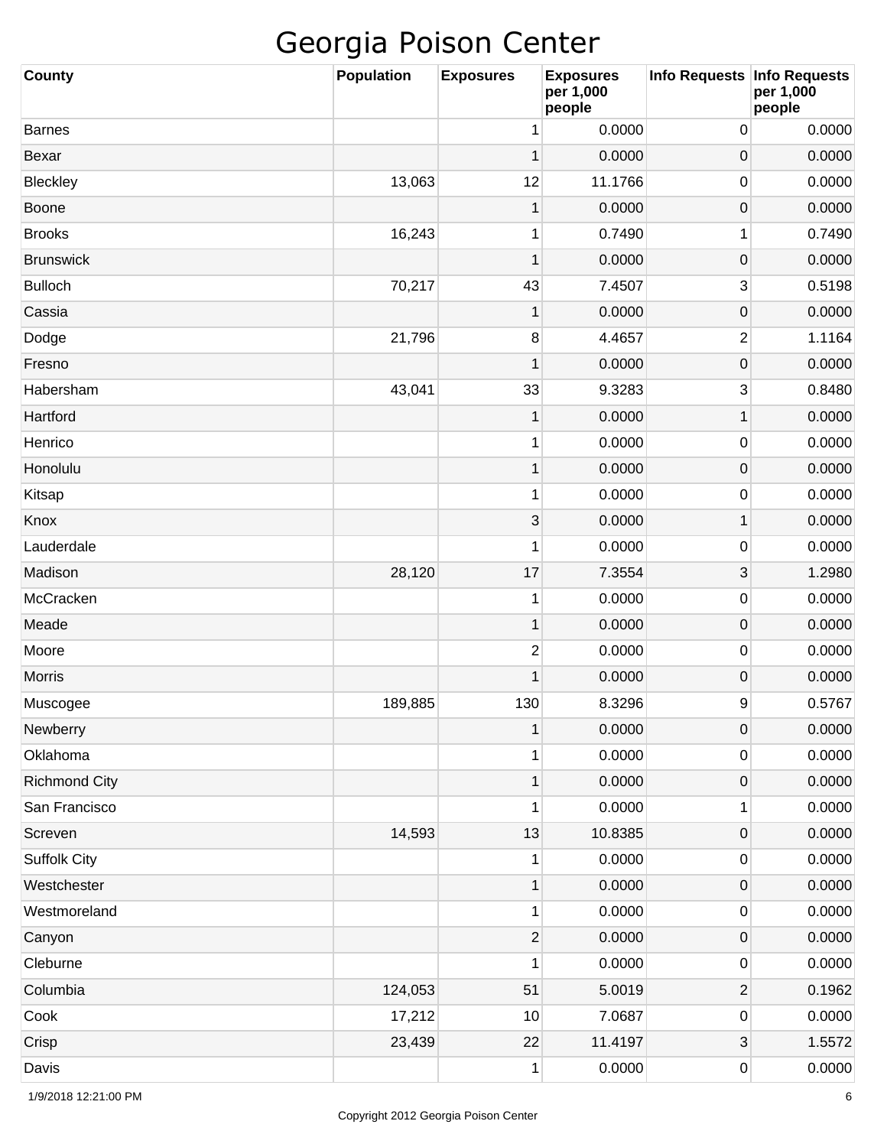| <b>County</b>        | <b>Population</b> | <b>Exposures</b> | <b>Exposures</b><br>per 1,000<br>people | Info Requests Info Requests | per 1,000<br>people |
|----------------------|-------------------|------------------|-----------------------------------------|-----------------------------|---------------------|
| <b>Barnes</b>        |                   | 1                | 0.0000                                  | 0                           | 0.0000              |
| Bexar                |                   | 1                | 0.0000                                  | 0                           | 0.0000              |
| Bleckley             | 13,063            | 12               | 11.1766                                 | 0                           | 0.0000              |
| Boone                |                   | 1                | 0.0000                                  | $\pmb{0}$                   | 0.0000              |
| <b>Brooks</b>        | 16,243            | 1                | 0.7490                                  | 1                           | 0.7490              |
| <b>Brunswick</b>     |                   | 1                | 0.0000                                  | $\pmb{0}$                   | 0.0000              |
| <b>Bulloch</b>       | 70,217            | 43               | 7.4507                                  | 3                           | 0.5198              |
| Cassia               |                   | 1                | 0.0000                                  | 0                           | 0.0000              |
| Dodge                | 21,796            | 8                | 4.4657                                  | 2                           | 1.1164              |
| Fresno               |                   | 1                | 0.0000                                  | 0                           | 0.0000              |
| Habersham            | 43,041            | 33               | 9.3283                                  | 3                           | 0.8480              |
| Hartford             |                   | 1                | 0.0000                                  | 1                           | 0.0000              |
| Henrico              |                   | 1                | 0.0000                                  | 0                           | 0.0000              |
| Honolulu             |                   | $\mathbf{1}$     | 0.0000                                  | $\pmb{0}$                   | 0.0000              |
| Kitsap               |                   | 1                | 0.0000                                  | 0                           | 0.0000              |
| Knox                 |                   | 3                | 0.0000                                  | 1                           | 0.0000              |
| Lauderdale           |                   | 1                | 0.0000                                  | 0                           | 0.0000              |
| Madison              | 28,120            | 17               | 7.3554                                  | 3                           | 1.2980              |
| McCracken            |                   | 1                | 0.0000                                  | 0                           | 0.0000              |
| Meade                |                   | $\mathbf{1}$     | 0.0000                                  | $\pmb{0}$                   | 0.0000              |
| Moore                |                   | $\overline{2}$   | 0.0000                                  | 0                           | 0.0000              |
| Morris               |                   | 1                | 0.0000                                  | 0                           | 0.0000              |
| Muscogee             | 189,885           | 130              | 8.3296                                  | 9                           | 0.5767              |
| Newberry             |                   | $\mathbf{1}$     | 0.0000                                  | $\boldsymbol{0}$            | 0.0000              |
| Oklahoma             |                   | 1                | 0.0000                                  | $\pmb{0}$                   | 0.0000              |
| <b>Richmond City</b> |                   | $\mathbf{1}$     | 0.0000                                  | $\pmb{0}$                   | 0.0000              |
| San Francisco        |                   | 1                | 0.0000                                  | 1                           | 0.0000              |
| Screven              | 14,593            | 13               | 10.8385                                 | $\pmb{0}$                   | 0.0000              |
| <b>Suffolk City</b>  |                   | 1                | 0.0000                                  | $\pmb{0}$                   | 0.0000              |
| Westchester          |                   | $\mathbf 1$      | 0.0000                                  | $\pmb{0}$                   | 0.0000              |
| Westmoreland         |                   | $\mathbf{1}$     | 0.0000                                  | $\pmb{0}$                   | 0.0000              |
| Canyon               |                   | $\mathbf{2}$     | 0.0000                                  | $\pmb{0}$                   | 0.0000              |
| Cleburne             |                   | 1                | 0.0000                                  | $\pmb{0}$                   | 0.0000              |
| Columbia             | 124,053           | 51               | 5.0019                                  | $\sqrt{2}$                  | 0.1962              |
| Cook                 | 17,212            | 10               | 7.0687                                  | $\pmb{0}$                   | 0.0000              |
| Crisp                | 23,439            | 22               | 11.4197                                 | 3                           | 1.5572              |
| Davis                |                   | $\mathbf{1}$     | 0.0000                                  | $\pmb{0}$                   | 0.0000              |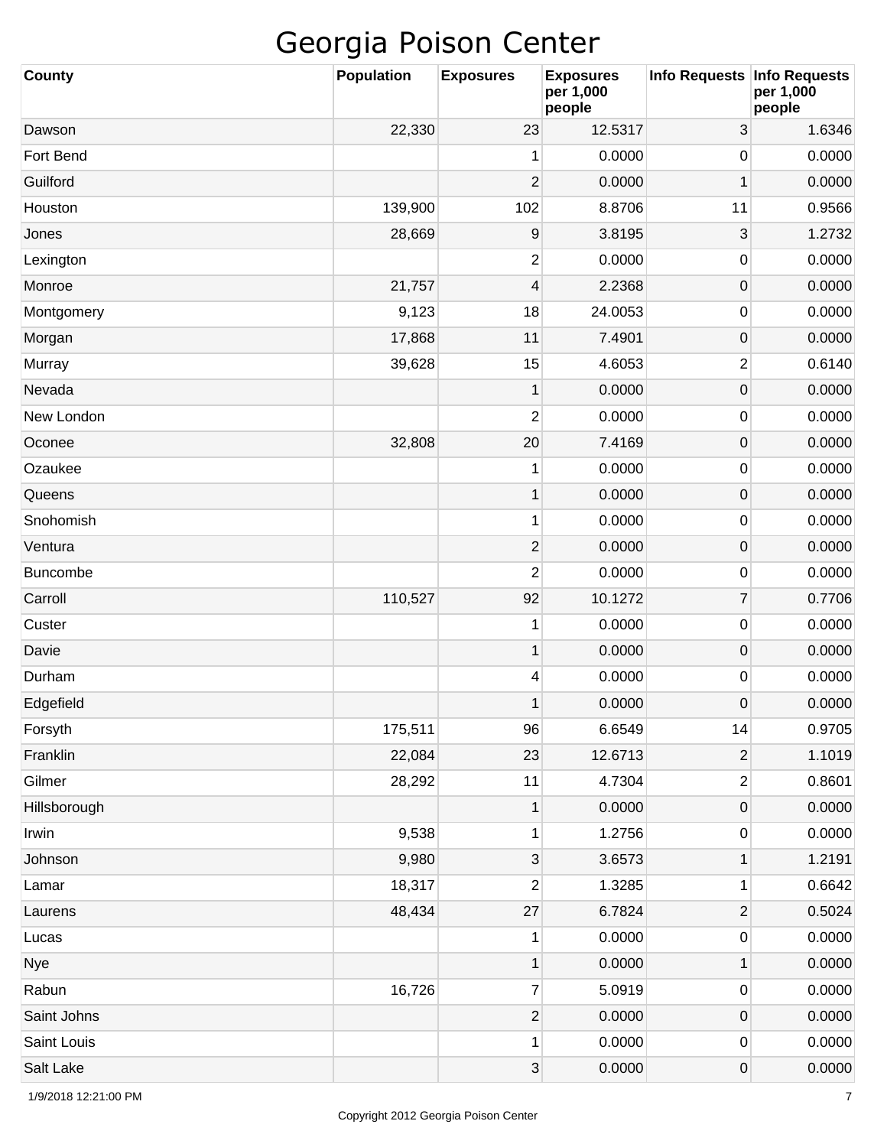| <b>County</b>   | <b>Population</b> | <b>Exposures</b>          | <b>Exposures</b><br>per 1,000<br>people | Info Requests   Info Requests | per 1,000<br>people |
|-----------------|-------------------|---------------------------|-----------------------------------------|-------------------------------|---------------------|
| Dawson          | 22,330            | 23                        | 12.5317                                 | 3                             | 1.6346              |
| Fort Bend       |                   | 1                         | 0.0000                                  | 0                             | 0.0000              |
| Guilford        |                   | $\overline{2}$            | 0.0000                                  | 1                             | 0.0000              |
| Houston         | 139,900           | 102                       | 8.8706                                  | 11                            | 0.9566              |
| Jones           | 28,669            | 9                         | 3.8195                                  | 3                             | 1.2732              |
| Lexington       |                   | $\overline{2}$            | 0.0000                                  | 0                             | 0.0000              |
| Monroe          | 21,757            | $\overline{\mathcal{A}}$  | 2.2368                                  | $\mathsf{O}\xspace$           | 0.0000              |
| Montgomery      | 9,123             | 18                        | 24.0053                                 | 0                             | 0.0000              |
| Morgan          | 17,868            | 11                        | 7.4901                                  | $\mathsf{O}\xspace$           | 0.0000              |
| Murray          | 39,628            | 15                        | 4.6053                                  | $\overline{c}$                | 0.6140              |
| Nevada          |                   | $\mathbf 1$               | 0.0000                                  | $\mathsf{O}\xspace$           | 0.0000              |
| New London      |                   | 2                         | 0.0000                                  | 0                             | 0.0000              |
| Oconee          | 32,808            | 20                        | 7.4169                                  | $\mathsf{O}\xspace$           | 0.0000              |
| Ozaukee         |                   | 1                         | 0.0000                                  | 0                             | 0.0000              |
| Queens          |                   | $\mathbf 1$               | 0.0000                                  | $\mathsf{O}\xspace$           | 0.0000              |
| Snohomish       |                   | 1                         | 0.0000                                  | 0                             | 0.0000              |
| Ventura         |                   | $\overline{c}$            | 0.0000                                  | $\mathsf{O}\xspace$           | 0.0000              |
| <b>Buncombe</b> |                   | 2                         | 0.0000                                  | 0                             | 0.0000              |
| Carroll         | 110,527           | 92                        | 10.1272                                 | $\overline{7}$                | 0.7706              |
| Custer          |                   | 1                         | 0.0000                                  | 0                             | 0.0000              |
| Davie           |                   | $\mathbf 1$               | 0.0000                                  | $\mathsf{O}\xspace$           | 0.0000              |
| Durham          |                   | 4                         | 0.0000                                  | 0                             | 0.0000              |
| Edgefield       |                   | 1                         | 0.0000                                  | $\mathbf 0$                   | 0.0000              |
| Forsyth         | 175,511           | 96                        | 6.6549                                  | 14                            | 0.9705              |
| Franklin        | 22,084            | 23                        | 12.6713                                 | $\overline{\mathbf{c}}$       | 1.1019              |
| Gilmer          | 28,292            | 11                        | 4.7304                                  | $\overline{\mathbf{c}}$       | 0.8601              |
| Hillsborough    |                   | 1                         | 0.0000                                  | 0                             | 0.0000              |
| Irwin           | 9,538             | 1                         | 1.2756                                  | 0                             | 0.0000              |
| Johnson         | 9,980             | $\ensuremath{\mathsf{3}}$ | 3.6573                                  | 1                             | 1.2191              |
| Lamar           | 18,317            | 2                         | 1.3285                                  | 1                             | 0.6642              |
| Laurens         | 48,434            | 27                        | 6.7824                                  | $\mathbf 2$                   | 0.5024              |
| Lucas           |                   | 1                         | 0.0000                                  | 0                             | 0.0000              |
| <b>Nye</b>      |                   | $\mathbf 1$               | 0.0000                                  | $\mathbf 1$                   | 0.0000              |
| Rabun           | 16,726            | $\overline{7}$            | 5.0919                                  | 0                             | 0.0000              |
| Saint Johns     |                   | $\overline{2}$            | 0.0000                                  | $\mathsf{O}\xspace$           | 0.0000              |
| Saint Louis     |                   | 1                         | 0.0000                                  | 0                             | 0.0000              |
| Salt Lake       |                   | $\ensuremath{\mathsf{3}}$ | 0.0000                                  | 0                             | 0.0000              |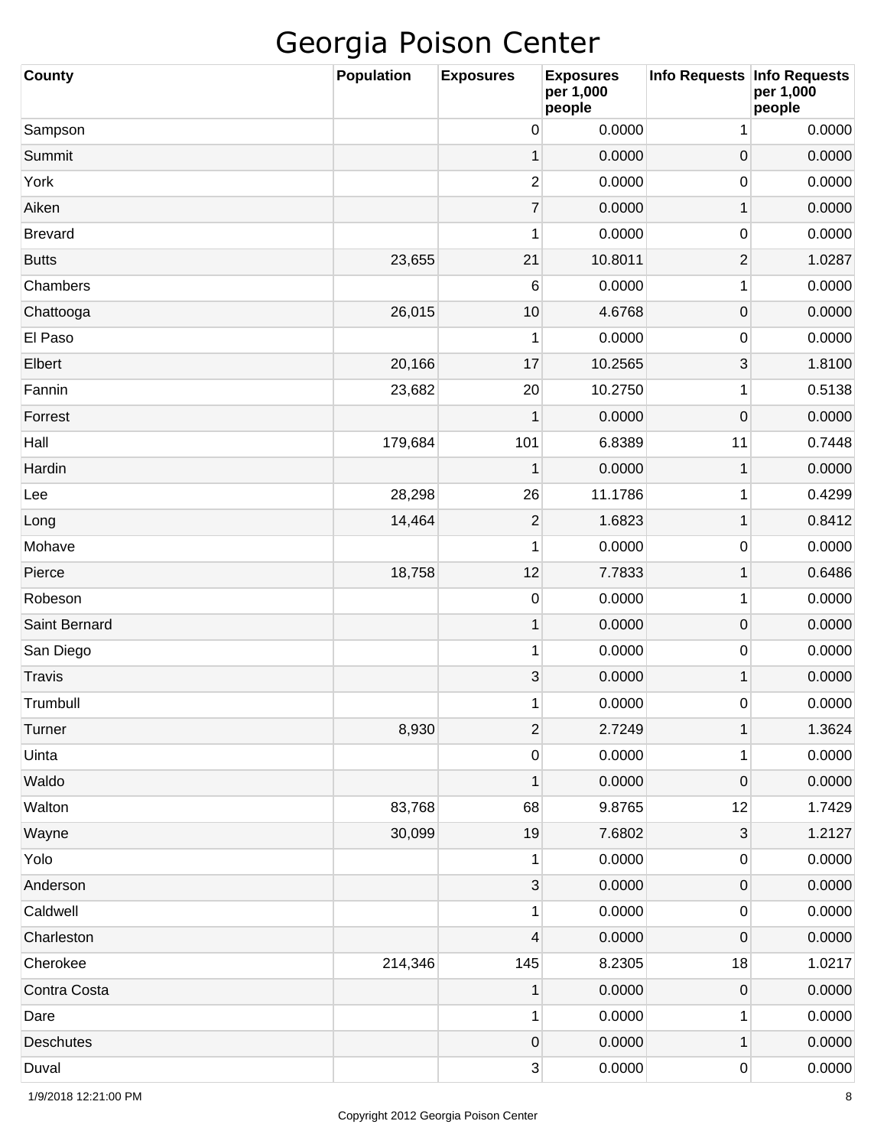| <b>County</b>    | <b>Population</b> | <b>Exposures</b> | <b>Exposures</b><br>per 1,000<br>people | Info Requests   Info Requests | per 1,000<br>people |
|------------------|-------------------|------------------|-----------------------------------------|-------------------------------|---------------------|
| Sampson          |                   | 0                | 0.0000                                  | 1                             | 0.0000              |
| Summit           |                   | 1                | 0.0000                                  | $\pmb{0}$                     | 0.0000              |
| York             |                   | $\overline{c}$   | 0.0000                                  | 0                             | 0.0000              |
| Aiken            |                   | $\overline{7}$   | 0.0000                                  | 1                             | 0.0000              |
| <b>Brevard</b>   |                   | 1                | 0.0000                                  | 0                             | 0.0000              |
| <b>Butts</b>     | 23,655            | 21               | 10.8011                                 | $\overline{2}$                | 1.0287              |
| Chambers         |                   | 6                | 0.0000                                  | 1                             | 0.0000              |
| Chattooga        | 26,015            | 10               | 4.6768                                  | $\pmb{0}$                     | 0.0000              |
| El Paso          |                   | 1                | 0.0000                                  | 0                             | 0.0000              |
| Elbert           | 20,166            | 17               | 10.2565                                 | 3                             | 1.8100              |
| Fannin           | 23,682            | 20               | 10.2750                                 | 1                             | 0.5138              |
| Forrest          |                   | 1                | 0.0000                                  | $\mathbf 0$                   | 0.0000              |
| Hall             | 179,684           | 101              | 6.8389                                  | 11                            | 0.7448              |
| Hardin           |                   | 1                | 0.0000                                  | 1                             | 0.0000              |
| Lee              | 28,298            | 26               | 11.1786                                 | 1                             | 0.4299              |
| Long             | 14,464            | $\mathbf{2}$     | 1.6823                                  | 1                             | 0.8412              |
| Mohave           |                   | 1                | 0.0000                                  | 0                             | 0.0000              |
| Pierce           | 18,758            | 12               | 7.7833                                  | 1                             | 0.6486              |
| Robeson          |                   | 0                | 0.0000                                  | 1                             | 0.0000              |
| Saint Bernard    |                   | $\mathbf{1}$     | 0.0000                                  | $\pmb{0}$                     | 0.0000              |
| San Diego        |                   | 1                | 0.0000                                  | 0                             | 0.0000              |
| <b>Travis</b>    |                   | 3                | 0.0000                                  | 1                             | 0.0000              |
| Trumbull         |                   | 1                | 0.0000                                  | 0                             | 0.0000              |
| Turner           | 8,930             | $\overline{2}$   | 2.7249                                  | $\mathbf{1}$                  | 1.3624              |
| Uinta            |                   | $\pmb{0}$        | 0.0000                                  | 1                             | 0.0000              |
| Waldo            |                   | $\mathbf{1}$     | 0.0000                                  | $\pmb{0}$                     | 0.0000              |
| Walton           | 83,768            | 68               | 9.8765                                  | 12                            | 1.7429              |
| Wayne            | 30,099            | 19               | 7.6802                                  | $\ensuremath{\mathsf{3}}$     | 1.2127              |
| Yolo             |                   | 1                | 0.0000                                  | $\pmb{0}$                     | 0.0000              |
| Anderson         |                   | $\sqrt{3}$       | 0.0000                                  | $\pmb{0}$                     | 0.0000              |
| Caldwell         |                   | 1                | 0.0000                                  | $\pmb{0}$                     | 0.0000              |
| Charleston       |                   | 4                | 0.0000                                  | $\pmb{0}$                     | 0.0000              |
| Cherokee         | 214,346           | 145              | 8.2305                                  | 18                            | 1.0217              |
| Contra Costa     |                   | $\mathbf{1}$     | 0.0000                                  | $\pmb{0}$                     | 0.0000              |
| Dare             |                   | $\mathbf{1}$     | 0.0000                                  | 1                             | 0.0000              |
| <b>Deschutes</b> |                   | $\mathbf 0$      | 0.0000                                  | 1                             | 0.0000              |
| Duval            |                   | $\mathbf{3}$     | 0.0000                                  | $\pmb{0}$                     | 0.0000              |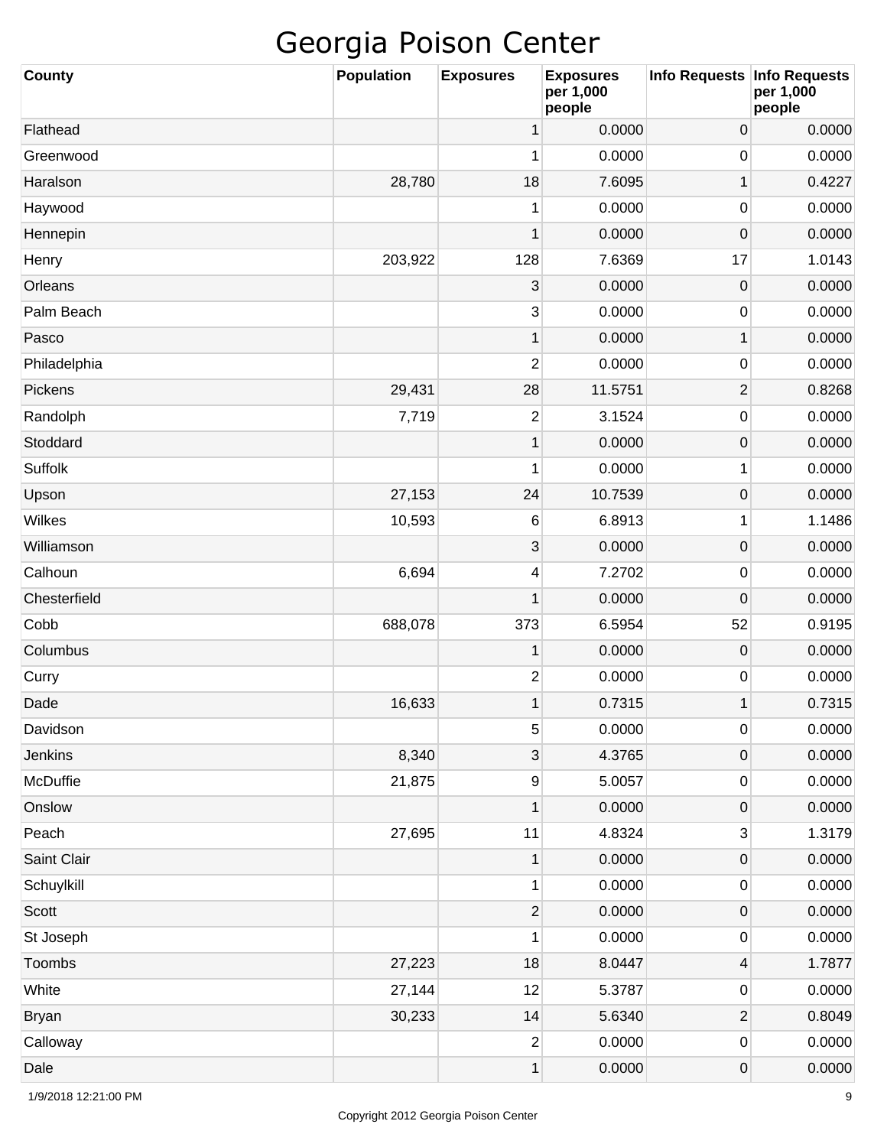| <b>County</b> | <b>Population</b> | <b>Exposures</b> | <b>Exposures</b><br>per 1,000<br>people | <b>Info Requests</b>    | <b>Info Requests</b><br>per 1,000<br>people |
|---------------|-------------------|------------------|-----------------------------------------|-------------------------|---------------------------------------------|
| Flathead      |                   | 1                | 0.0000                                  | 0                       | 0.0000                                      |
| Greenwood     |                   | 1                | 0.0000                                  | 0                       | 0.0000                                      |
| Haralson      | 28,780            | 18               | 7.6095                                  | $\mathbf 1$             | 0.4227                                      |
| Haywood       |                   | 1                | 0.0000                                  | 0                       | 0.0000                                      |
| Hennepin      |                   | 1                | 0.0000                                  | $\mathsf{O}\xspace$     | 0.0000                                      |
| Henry         | 203,922           | 128              | 7.6369                                  | 17                      | 1.0143                                      |
| Orleans       |                   | 3                | 0.0000                                  | $\mathsf{O}\xspace$     | 0.0000                                      |
| Palm Beach    |                   | 3                | 0.0000                                  | 0                       | 0.0000                                      |
| Pasco         |                   | $\mathbf{1}$     | 0.0000                                  | $\mathbf 1$             | 0.0000                                      |
| Philadelphia  |                   | $\overline{c}$   | 0.0000                                  | 0                       | 0.0000                                      |
| Pickens       | 29,431            | 28               | 11.5751                                 | $\overline{2}$          | 0.8268                                      |
| Randolph      | 7,719             | $\overline{2}$   | 3.1524                                  | 0                       | 0.0000                                      |
| Stoddard      |                   | $\mathbf{1}$     | 0.0000                                  | $\mathsf{O}\xspace$     | 0.0000                                      |
| Suffolk       |                   | 1                | 0.0000                                  | 1                       | 0.0000                                      |
| Upson         | 27,153            | 24               | 10.7539                                 | $\mathsf{O}\xspace$     | 0.0000                                      |
| Wilkes        | 10,593            | 6                | 6.8913                                  | 1                       | 1.1486                                      |
| Williamson    |                   | 3                | 0.0000                                  | $\mathsf{O}\xspace$     | 0.0000                                      |
| Calhoun       | 6,694             | 4                | 7.2702                                  | 0                       | 0.0000                                      |
| Chesterfield  |                   | 1                | 0.0000                                  | $\mathbf 0$             | 0.0000                                      |
| Cobb          | 688,078           | 373              | 6.5954                                  | 52                      | 0.9195                                      |
| Columbus      |                   | 1                | 0.0000                                  | $\mathsf{O}\xspace$     | 0.0000                                      |
| Curry         |                   | 2                | 0.0000                                  | 0                       | 0.0000                                      |
| Dade          | 16,633            | 1                | 0.7315                                  | $\mathbf 1$             | 0.7315                                      |
| Davidson      |                   | 5                | 0.0000                                  | 0                       | 0.0000                                      |
| Jenkins       | 8,340             | 3                | 4.3765                                  | $\mathsf{O}\xspace$     | 0.0000                                      |
| McDuffie      | 21,875            | $\boldsymbol{9}$ | 5.0057                                  | 0                       | 0.0000                                      |
| Onslow        |                   | $\mathbf{1}$     | 0.0000                                  | $\mathsf{O}\xspace$     | 0.0000                                      |
| Peach         | 27,695            | 11               | 4.8324                                  | 3                       | 1.3179                                      |
| Saint Clair   |                   | 1                | 0.0000                                  | $\mathsf{O}\xspace$     | 0.0000                                      |
| Schuylkill    |                   | $\mathbf{1}$     | 0.0000                                  | 0                       | 0.0000                                      |
| Scott         |                   | $\overline{2}$   | 0.0000                                  | $\mathsf{O}\xspace$     | 0.0000                                      |
| St Joseph     |                   | 1                | 0.0000                                  | 0                       | 0.0000                                      |
| Toombs        | 27,223            | 18               | 8.0447                                  | 4                       | 1.7877                                      |
| White         | 27,144            | 12               | 5.3787                                  | 0                       | 0.0000                                      |
| <b>Bryan</b>  | 30,233            | 14               | 5.6340                                  | $\overline{\mathbf{c}}$ | 0.8049                                      |
| Calloway      |                   | $\boldsymbol{2}$ | 0.0000                                  | 0                       | 0.0000                                      |
| Dale          |                   | $\mathbf{1}$     | 0.0000                                  | $\mathsf{O}\xspace$     | 0.0000                                      |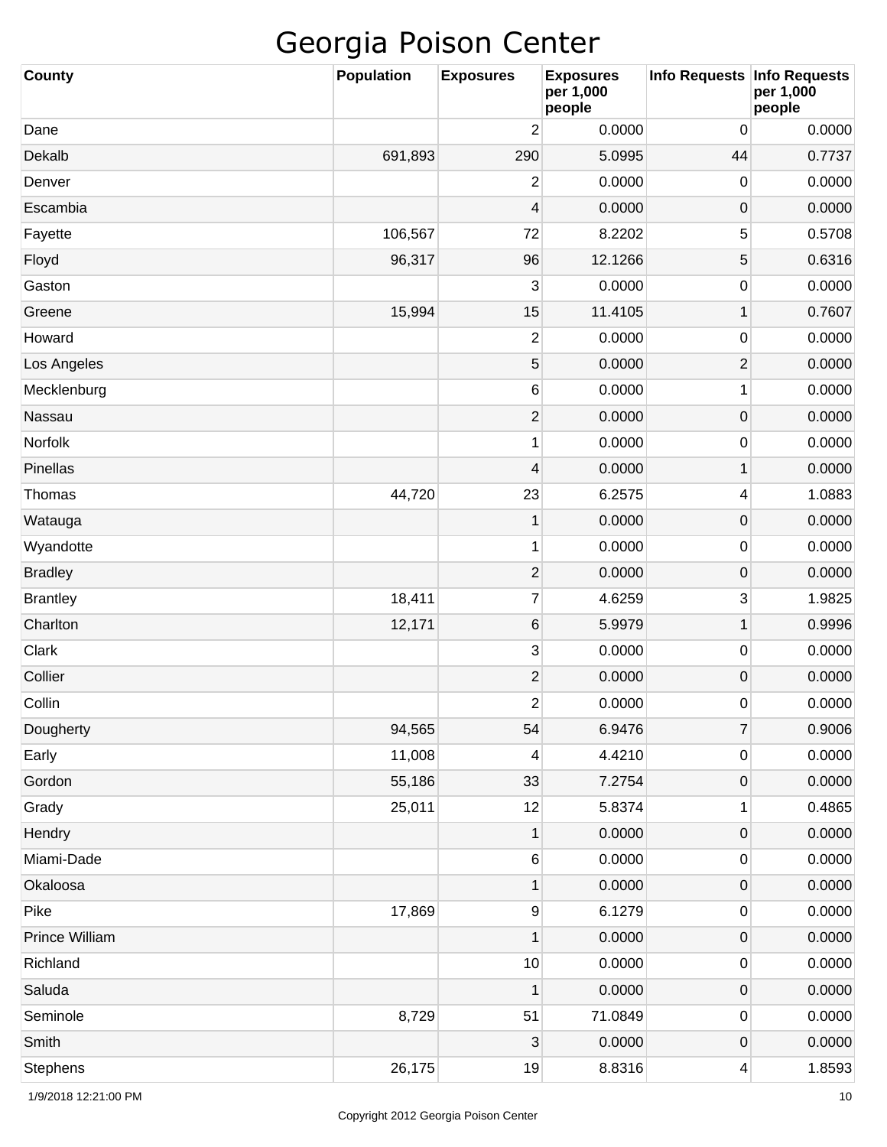| <b>County</b>   | <b>Population</b> | <b>Exposures</b> | <b>Exposures</b><br>per 1,000<br>people | Info Requests   Info Requests | per 1,000<br>people |
|-----------------|-------------------|------------------|-----------------------------------------|-------------------------------|---------------------|
| Dane            |                   | $\overline{c}$   | 0.0000                                  | 0                             | 0.0000              |
| Dekalb          | 691,893           | 290              | 5.0995                                  | 44                            | 0.7737              |
| Denver          |                   | $\overline{c}$   | 0.0000                                  | 0                             | 0.0000              |
| Escambia        |                   | 4                | 0.0000                                  | 0                             | 0.0000              |
| Fayette         | 106,567           | 72               | 8.2202                                  | 5                             | 0.5708              |
| Floyd           | 96,317            | 96               | 12.1266                                 | 5                             | 0.6316              |
| Gaston          |                   | 3                | 0.0000                                  | 0                             | 0.0000              |
| Greene          | 15,994            | 15               | 11.4105                                 | 1                             | 0.7607              |
| Howard          |                   | $\overline{2}$   | 0.0000                                  | 0                             | 0.0000              |
| Los Angeles     |                   | 5                | 0.0000                                  | 2                             | 0.0000              |
| Mecklenburg     |                   | 6                | 0.0000                                  | 1                             | 0.0000              |
| Nassau          |                   | $\mathbf{2}$     | 0.0000                                  | $\pmb{0}$                     | 0.0000              |
| Norfolk         |                   | 1                | 0.0000                                  | 0                             | 0.0000              |
| Pinellas        |                   | $\overline{4}$   | 0.0000                                  | 1                             | 0.0000              |
| Thomas          | 44,720            | 23               | 6.2575                                  | 4                             | 1.0883              |
| Watauga         |                   | $\mathbf 1$      | 0.0000                                  | $\pmb{0}$                     | 0.0000              |
| Wyandotte       |                   | 1                | 0.0000                                  | 0                             | 0.0000              |
| <b>Bradley</b>  |                   | $\mathbf{2}$     | 0.0000                                  | $\pmb{0}$                     | 0.0000              |
| <b>Brantley</b> | 18,411            | $\boldsymbol{7}$ | 4.6259                                  | 3                             | 1.9825              |
| Charlton        | 12,171            | 6                | 5.9979                                  | 1                             | 0.9996              |
| Clark           |                   | $\mathbf{3}$     | 0.0000                                  | 0                             | 0.0000              |
| Collier         |                   | $\mathbf{2}$     | 0.0000                                  | 0                             | 0.0000              |
| Collin          |                   | $\overline{c}$   | 0.0000                                  | 0                             | 0.0000              |
| Dougherty       | 94,565            | 54               | 6.9476                                  | $\overline{7}$                | 0.9006              |
| Early           | 11,008            | 4                | 4.4210                                  | $\pmb{0}$                     | 0.0000              |
| Gordon          | 55,186            | 33               | 7.2754                                  | $\pmb{0}$                     | 0.0000              |
| Grady           | 25,011            | 12               | 5.8374                                  | 1                             | 0.4865              |
| Hendry          |                   | $\mathbf 1$      | 0.0000                                  | $\pmb{0}$                     | 0.0000              |
| Miami-Dade      |                   | $\,$ 6 $\,$      | 0.0000                                  | $\pmb{0}$                     | 0.0000              |
| Okaloosa        |                   | $\mathbf 1$      | 0.0000                                  | $\pmb{0}$                     | 0.0000              |
| Pike            | 17,869            | $\boldsymbol{9}$ | 6.1279                                  | $\pmb{0}$                     | 0.0000              |
| Prince William  |                   | $\mathbf{1}$     | 0.0000                                  | $\pmb{0}$                     | 0.0000              |
| Richland        |                   | 10               | 0.0000                                  | $\pmb{0}$                     | 0.0000              |
| Saluda          |                   | 1                | 0.0000                                  | $\pmb{0}$                     | 0.0000              |
| Seminole        | 8,729             | 51               | 71.0849                                 | $\pmb{0}$                     | 0.0000              |
| Smith           |                   | 3                | 0.0000                                  | $\pmb{0}$                     | 0.0000              |
| <b>Stephens</b> | 26,175            | 19               | 8.8316                                  | 4                             | 1.8593              |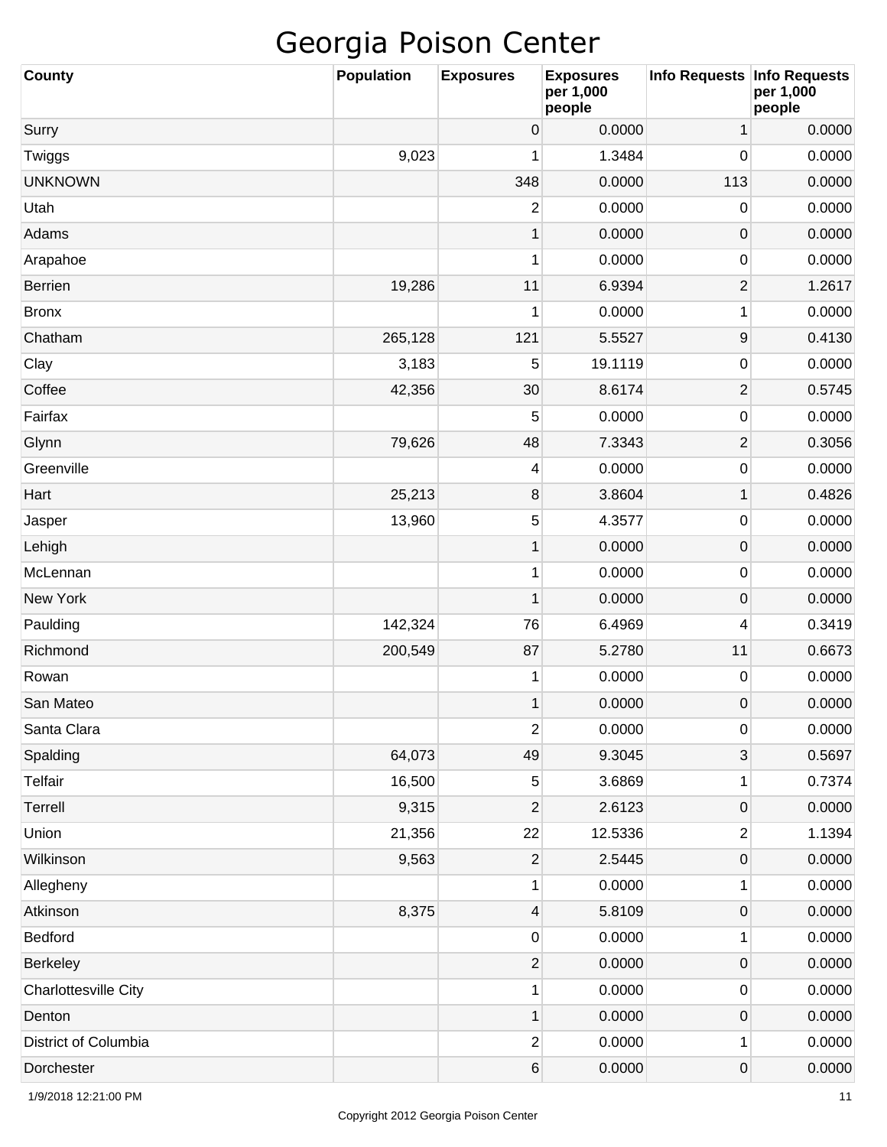| County               | <b>Population</b> | <b>Exposures</b>        | <b>Exposures</b><br>per 1,000<br>people | Info Requests   Info Requests | per 1,000<br>people |
|----------------------|-------------------|-------------------------|-----------------------------------------|-------------------------------|---------------------|
| Surry                |                   | 0                       | 0.0000                                  | 1                             | 0.0000              |
| Twiggs               | 9,023             | 1                       | 1.3484                                  | $\mathbf 0$                   | 0.0000              |
| <b>UNKNOWN</b>       |                   | 348                     | 0.0000                                  | 113                           | 0.0000              |
| Utah                 |                   | 2                       | 0.0000                                  | 0                             | 0.0000              |
| Adams                |                   | $\mathbf{1}$            | 0.0000                                  | $\pmb{0}$                     | 0.0000              |
| Arapahoe             |                   | 1                       | 0.0000                                  | 0                             | 0.0000              |
| <b>Berrien</b>       | 19,286            | 11                      | 6.9394                                  | $\overline{2}$                | 1.2617              |
| <b>Bronx</b>         |                   | 1                       | 0.0000                                  | 1                             | 0.0000              |
| Chatham              | 265,128           | 121                     | 5.5527                                  | $\boldsymbol{9}$              | 0.4130              |
| Clay                 | 3,183             | 5                       | 19.1119                                 | 0                             | 0.0000              |
| Coffee               | 42,356            | 30                      | 8.6174                                  | $\overline{2}$                | 0.5745              |
| Fairfax              |                   | 5                       | 0.0000                                  | 0                             | 0.0000              |
| Glynn                | 79,626            | 48                      | 7.3343                                  | $\overline{2}$                | 0.3056              |
| Greenville           |                   | 4                       | 0.0000                                  | 0                             | 0.0000              |
| Hart                 | 25,213            | 8                       | 3.8604                                  | 1                             | 0.4826              |
| Jasper               | 13,960            | 5                       | 4.3577                                  | 0                             | 0.0000              |
| Lehigh               |                   | $\mathbf{1}$            | 0.0000                                  | $\pmb{0}$                     | 0.0000              |
| McLennan             |                   | 1                       | 0.0000                                  | 0                             | 0.0000              |
| <b>New York</b>      |                   | $\mathbf{1}$            | 0.0000                                  | $\pmb{0}$                     | 0.0000              |
| Paulding             | 142,324           | 76                      | 6.4969                                  | 4                             | 0.3419              |
| Richmond             | 200,549           | 87                      | 5.2780                                  | 11                            | 0.6673              |
| Rowan                |                   | 1                       | 0.0000                                  | 0                             | 0.0000              |
| San Mateo            |                   | $\mathbf{1}$            | 0.0000                                  | 0                             | 0.0000              |
| Santa Clara          |                   | $\overline{c}$          | 0.0000                                  | $\pmb{0}$                     | 0.0000              |
| Spalding             | 64,073            | 49                      | 9.3045                                  | 3                             | 0.5697              |
| <b>Telfair</b>       | 16,500            | $\sqrt{5}$              | 3.6869                                  | 1                             | 0.7374              |
| Terrell              | 9,315             | $\overline{\mathbf{c}}$ | 2.6123                                  | $\pmb{0}$                     | 0.0000              |
| Union                | 21,356            | 22                      | 12.5336                                 | 2                             | 1.1394              |
| Wilkinson            | 9,563             | $\mathbf 2$             | 2.5445                                  | 0                             | 0.0000              |
| Allegheny            |                   | $\mathbf{1}$            | 0.0000                                  | 1                             | 0.0000              |
| Atkinson             | 8,375             | $\overline{4}$          | 5.8109                                  | $\pmb{0}$                     | 0.0000              |
| Bedford              |                   | $\pmb{0}$               | 0.0000                                  | 1                             | 0.0000              |
| Berkeley             |                   | $\mathbf 2$             | 0.0000                                  | $\pmb{0}$                     | 0.0000              |
| Charlottesville City |                   | $\mathbf{1}$            | 0.0000                                  | $\pmb{0}$                     | 0.0000              |
| Denton               |                   | $\mathbf{1}$            | 0.0000                                  | 0                             | 0.0000              |
| District of Columbia |                   | $\overline{c}$          | 0.0000                                  | 1                             | 0.0000              |
| Dorchester           |                   | $\,6$                   | 0.0000                                  | $\mathbf 0$                   | 0.0000              |